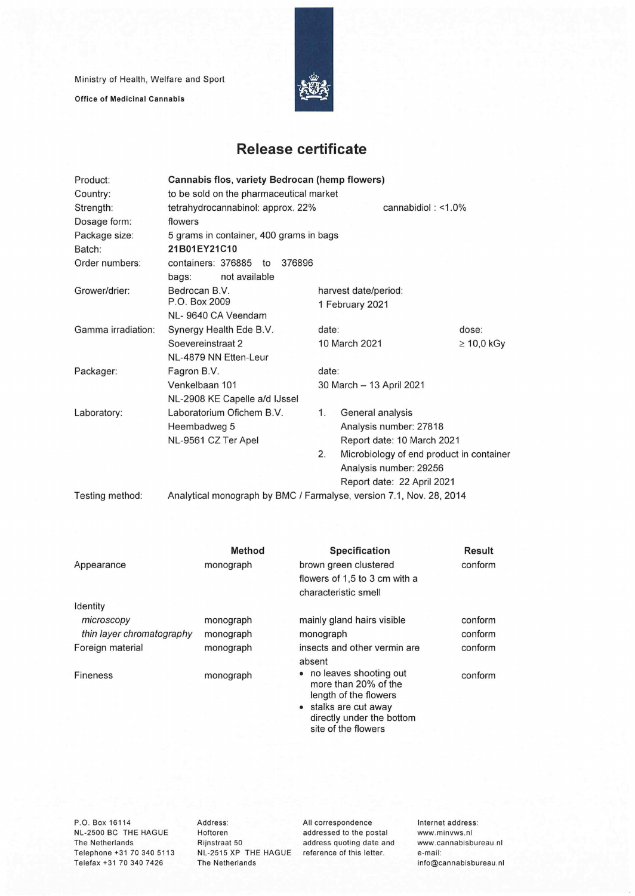Ministry of Health, Welfare and Sport

**Office of Medicinal Cannabis** 



## **Release certificate**

| Product:           | Cannabis flos, variety Bedrocan (hemp flowers)                      |                                                |                 |  |  |  |
|--------------------|---------------------------------------------------------------------|------------------------------------------------|-----------------|--|--|--|
| Country:           | to be sold on the pharmaceutical market                             |                                                |                 |  |  |  |
| Strength:          | tetrahydrocannabinol: approx. 22%<br>cannabidiol: $<$ 1.0%          |                                                |                 |  |  |  |
| Dosage form:       | flowers                                                             |                                                |                 |  |  |  |
| Package size:      | 5 grams in container, 400 grams in bags                             |                                                |                 |  |  |  |
| Batch:             | 21B01EY21C10                                                        |                                                |                 |  |  |  |
| Order numbers:     | containers: 376885<br>376896<br>to                                  |                                                |                 |  |  |  |
|                    | not available<br>bags:                                              |                                                |                 |  |  |  |
| Grower/drier:      | Bedrocan B.V.                                                       | harvest date/period:                           |                 |  |  |  |
|                    | P.O. Box 2009                                                       | 1 February 2021                                |                 |  |  |  |
|                    | NL-9640 CA Veendam                                                  |                                                |                 |  |  |  |
| Gamma irradiation: | Synergy Health Ede B.V.                                             | date:                                          | dose:           |  |  |  |
|                    | Soevereinstraat 2                                                   | 10 March 2021                                  | $\geq 10,0$ kGy |  |  |  |
|                    | NL-4879 NN Etten-Leur                                               |                                                |                 |  |  |  |
| Packager:          | Fagron B.V.                                                         | date:                                          |                 |  |  |  |
|                    | Venkelbaan 101                                                      | 30 March - 13 April 2021                       |                 |  |  |  |
|                    | NL-2908 KE Capelle a/d IJssel                                       |                                                |                 |  |  |  |
| Laboratory:        | Laboratorium Ofichem B.V.                                           | General analysis<br>1.                         |                 |  |  |  |
|                    | Heembadweg 5                                                        | Analysis number: 27818                         |                 |  |  |  |
|                    | NL-9561 CZ Ter Apel                                                 | Report date: 10 March 2021                     |                 |  |  |  |
|                    |                                                                     | 2.<br>Microbiology of end product in container |                 |  |  |  |
|                    |                                                                     | Analysis number: 29256                         |                 |  |  |  |
|                    |                                                                     | Report date: 22 April 2021                     |                 |  |  |  |
| Testing method:    | Analytical monograph by BMC / Farmalyse, version 7.1, Nov. 28, 2014 |                                                |                 |  |  |  |

Method **Specification** Result Appearance monograph brown green clustered conform flowers of 1,5 to 3 cm with a characteristic smell Identity microscopy **monograph** mainly gland hairs visible conform *thin layer chromatography* monograph monograph monograph conform Foreign material monograph insects and other vermin are conform absent Fineness monograph • no leaves shooting out conform more than 20% of the length of the flowers • stalks are cut away directly under the bottom site of the flowers

NL-2500 BC THE HAGUE Hoftoren addressed to the postai www.minvws.nl The Netherlands Rijnstraat 50 address quoting date and www.cannabisbureau.nl<br>Telephone +31 70 340 5113 NL-2515 XP THE HAGUE reference of this letter. e-mail: Telephone +31 70 340 5113 Telefax +31 70 340 7426 The Netherlands info@cannabisbureau.nl

P.O. Box 16114 Address: All correspondence Internet address:<br>NL-2500 BC THE HAGUE Hoftoren addressed to the postal www.minvws.nl